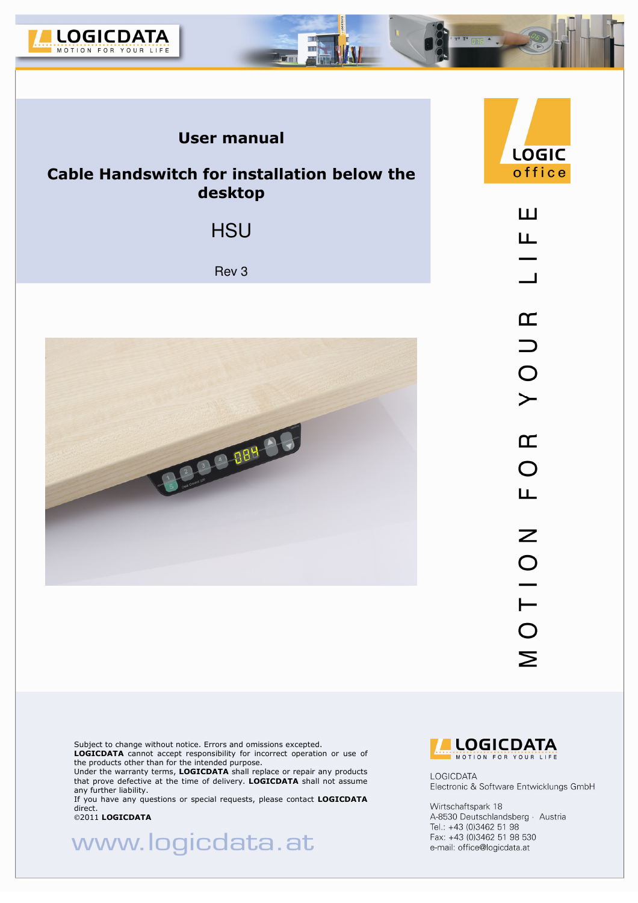

### **User manual**

### **Cable Handswitch for installation below the desktop**

**HSU** 

Rev 3



LOGIC office ш ய  $\blacksquare$  $\overline{\mathbf{r}}$ 

 $\supset$  $\overline{O}$  $\leftarrow$  $\overline{\mathbf{r}}$  $\overline{O}$ Ш  $\mathsf{Z}$  $\begin{array}{c}\n0 \\
1\n\end{array}$  $\mathbf{\Sigma}$ 

Subject to change without notice. Errors and omissions excepted.

**LOGICDATA** cannot accept responsibility for incorrect operation or use of the products other than for the intended purpose.

Under the warranty terms, **LOGICDATA** shall replace or repair any products that prove defective at the time of delivery. **LOGICDATA** shall not assume any further liability.

If you have any questions or special requests, please contact **LOGICDATA**  direct.

2011 **LOGICDATA**

www.logicdata.at



**LOGICDATA** Electronic & Software Entwicklungs GmbH

Wirtschaftspark 18 A-8530 Deutschlandsberg · Austria Tel.: +43 (0)3462 51 98 Fax: +43 (0)3462 51 98 530 e-mail: office@logicdata.at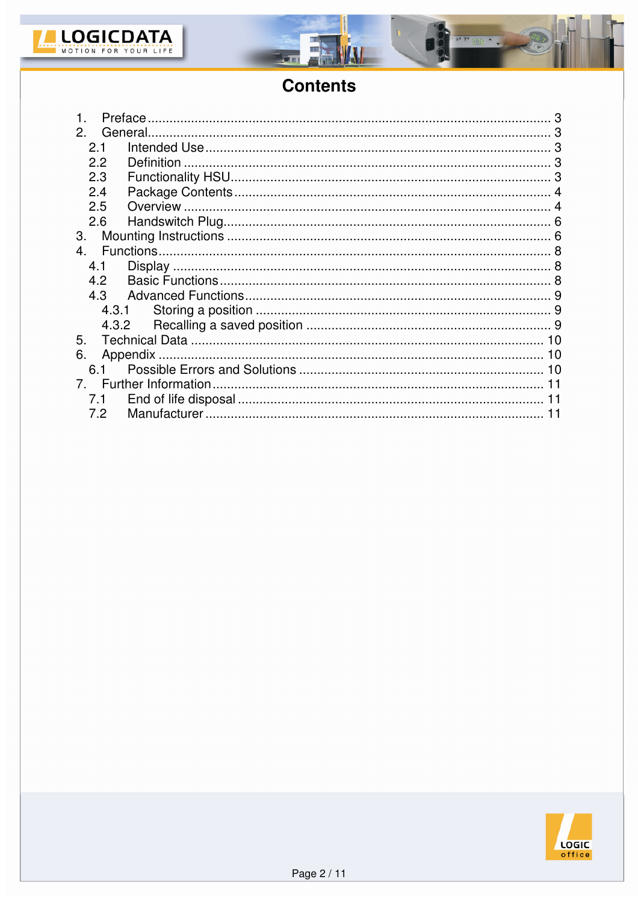

г



 $\overline{m}$ 

# **Contents**

| Preface        |    |
|----------------|----|
| 2.             |    |
| 2.1            |    |
| 2.2            |    |
| 2.3            |    |
| 2.4            |    |
| 2.5            |    |
| 2.6            |    |
| 3.             |    |
| 4 <sup>1</sup> |    |
| 4.1            |    |
| 4.2            |    |
| 4.3            |    |
| 4.3.1          |    |
| 4.3.2          |    |
| 5.             |    |
| 6.             |    |
| 6.1            |    |
|                | 11 |
| 7.1            |    |
| 7.2            |    |

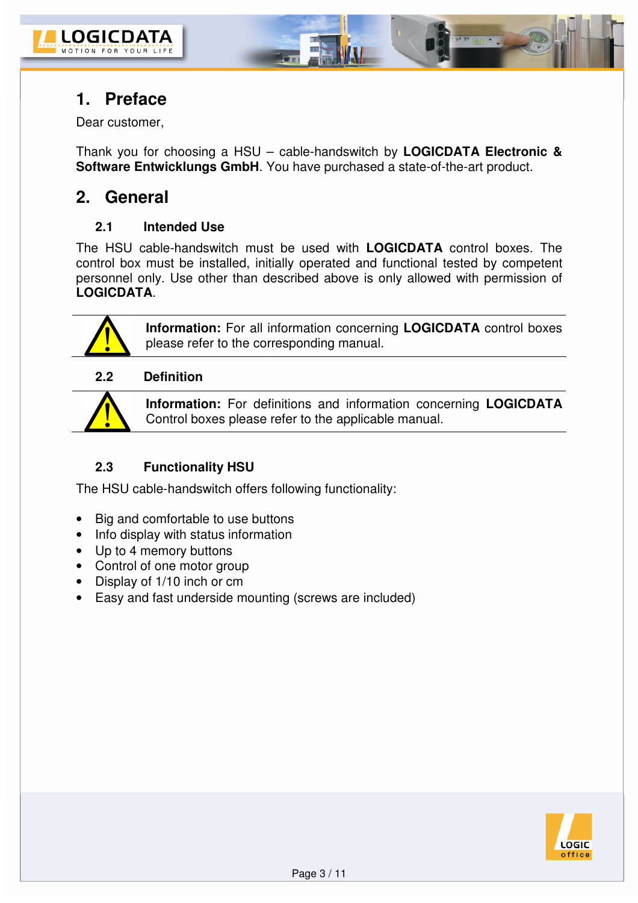

### **1. Preface**

Dear customer,

Thank you for choosing a HSU – cable-handswitch by **LOGICDATA Electronic & Software Entwicklungs GmbH**. You have purchased a state-of-the-art product.

### **2. General**

#### **2.1 Intended Use**

The HSU cable-handswitch must be used with **LOGICDATA** control boxes. The control box must be installed, initially operated and functional tested by competent personnel only. Use other than described above is only allowed with permission of **LOGICDATA**.



**Information:** For all information concerning **LOGICDATA** control boxes please refer to the corresponding manual.

#### **2.2 Definition**



**Information:** For definitions and information concerning **LOGICDATA** Control boxes please refer to the applicable manual.

### **2.3 Functionality HSU**

The HSU cable-handswitch offers following functionality:

- Big and comfortable to use buttons
- Info display with status information
- Up to 4 memory buttons
- Control of one motor group
- Display of 1/10 inch or cm
- Easy and fast underside mounting (screws are included)

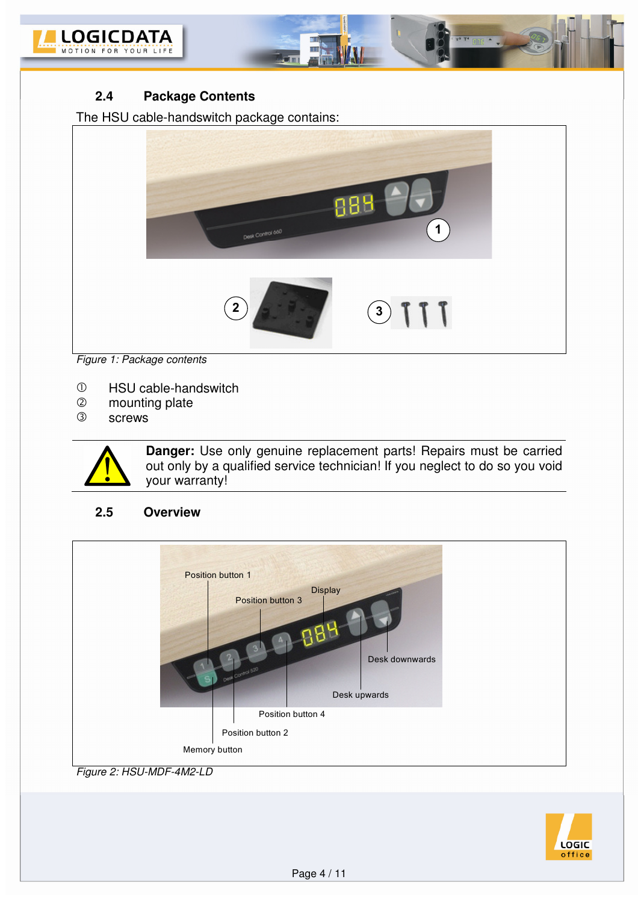



The HSU cable-handswitch package contains:



m

*Figure 1: Package contents* 

- HSU cable-handswitch
- $\circled{2}$ 2 mounting plate<br>3 screws
- screws



**Danger:** Use only genuine replacement parts! Repairs must be carried out only by a qualified service technician! If you neglect to do so you void your warranty!

#### **2.5 Overview**



*Figure 2: HSU-MDF-4M2-LD*

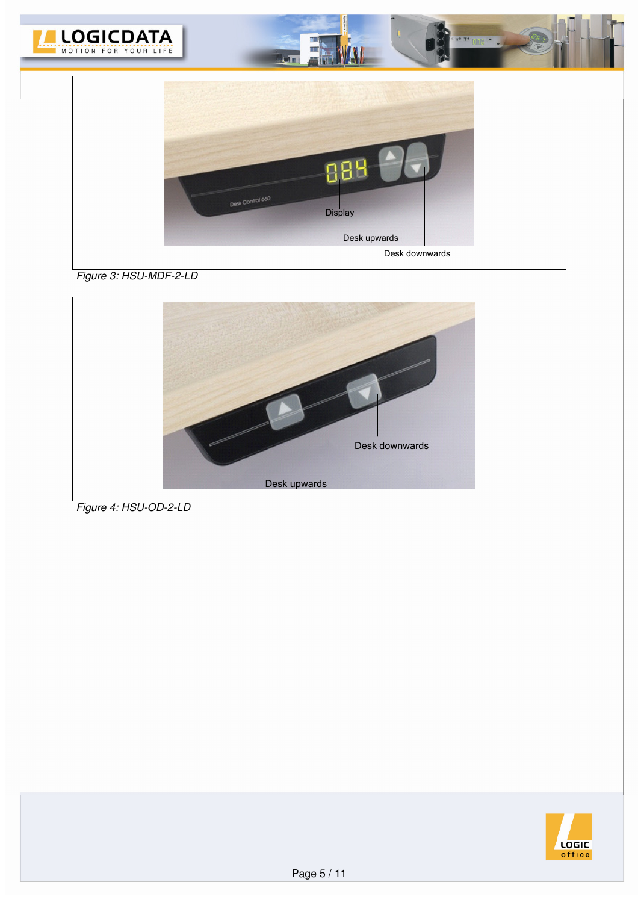

*Figure 3: HSU-MDF-2-LD*



*Figure 4: HSU-OD-2-LD*

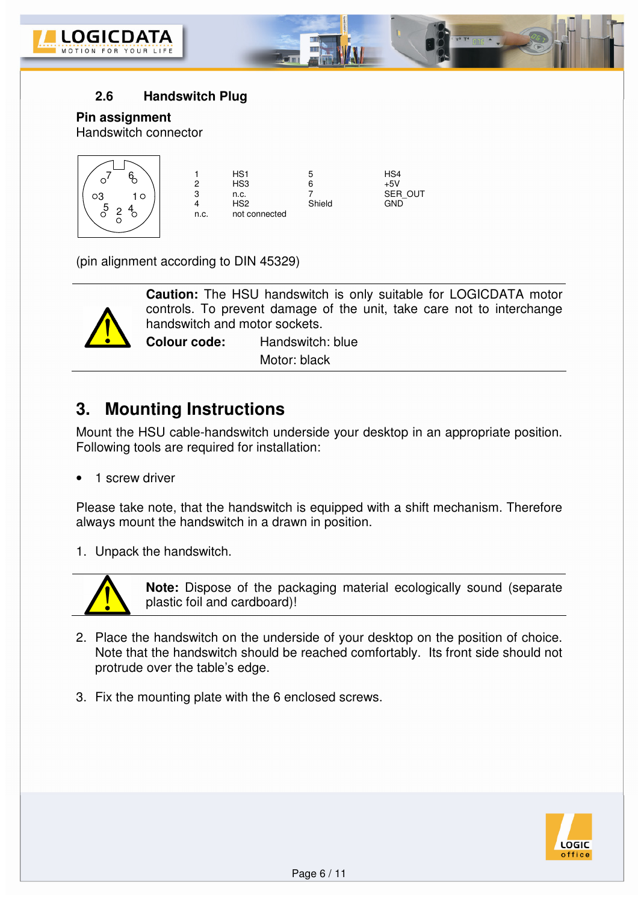



#### **Pin assignment**

Handswitch connector



(pin alignment according to DIN 45329)



**Caution:** The HSU handswitch is only suitable for LOGICDATA motor controls. To prevent damage of the unit, take care not to interchange handswitch and motor sockets.

**Colour code:** Handswitch: blue Motor: black

## **3. Mounting Instructions**

Mount the HSU cable-handswitch underside your desktop in an appropriate position. Following tools are required for installation:

1 screw driver

Please take note, that the handswitch is equipped with a shift mechanism. Therefore always mount the handswitch in a drawn in position.

1. Unpack the handswitch.



**Note:** Dispose of the packaging material ecologically sound (separate plastic foil and cardboard)!

- 2. Place the handswitch on the underside of your desktop on the position of choice. Note that the handswitch should be reached comfortably. Its front side should not protrude over the table's edge.
- 3. Fix the mounting plate with the 6 enclosed screws.

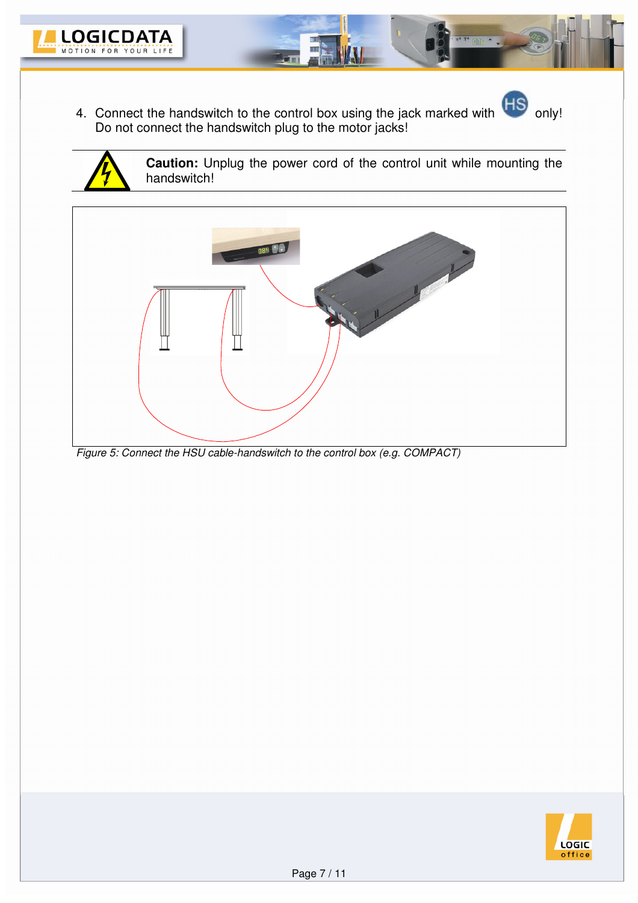

4. Connect the handswitch to the control box using the jack marked with only! Do not connect the handswitch plug to the motor jacks!





**Caution:** Unplug the power cord of the control unit while mounting the handswitch!



*Figure 5: Connect the HSU cable-handswitch to the control box (e.g. COMPACT)*

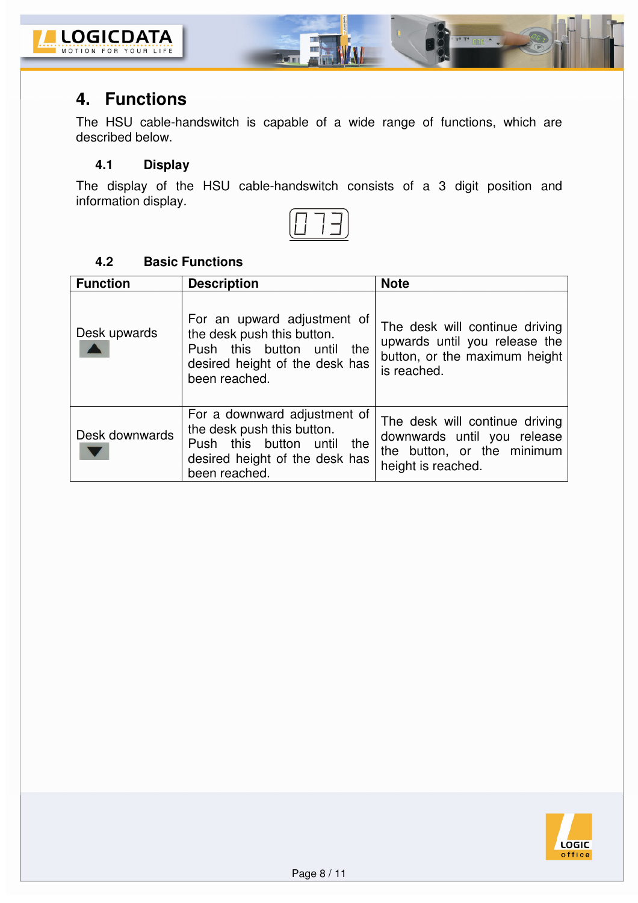

## **4. Functions**

The HSU cable-handswitch is capable of a wide range of functions, which are described below.

Ε

 $P$  and  $\triangle$ 

#### **4.1 Display**

The display of the HSU cable-handswitch consists of a 3 digit position and information display.

### **4.2 Basic Functions**

| <b>Function</b> | <b>Description</b>                                                                                                                                | <b>Note</b>                                                                                                       |  |
|-----------------|---------------------------------------------------------------------------------------------------------------------------------------------------|-------------------------------------------------------------------------------------------------------------------|--|
| Desk upwards    | For an upward adjustment of<br>the desk push this button.<br>Push this button<br>until<br>the<br>desired height of the desk has<br>been reached.  | The desk will continue driving<br>upwards until you release the<br>button, or the maximum height<br>is reached.   |  |
| Desk downwards  | For a downward adjustment of<br>the desk push this button.<br>Push this button<br>until<br>the<br>desired height of the desk has<br>been reached. | The desk will continue driving<br>downwards until you release<br>the button, or the minimum<br>height is reached. |  |

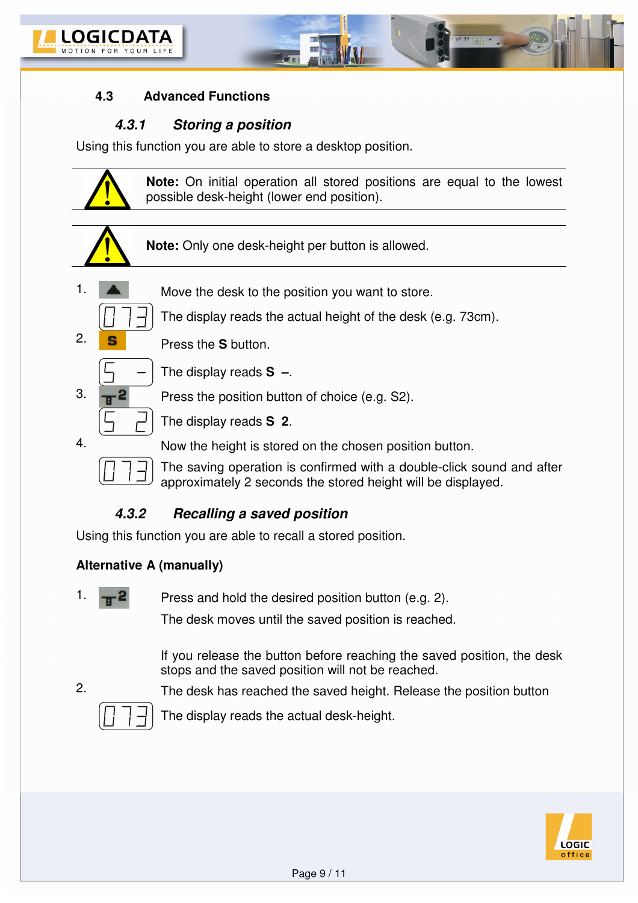

#### **4.3 Advanced Functions**

#### **4.3.1 Storing a position**

Using this function you are able to store a desktop position.



### **4.3.2 Recalling a saved position**

Using this function you are able to recall a stored position.

#### **Alternative A (manually)**

1.  $\sqrt{P}$  Press and hold the desired position button (e.g. 2).

The desk moves until the saved position is reached.

If you release the button before reaching the saved position, the desk stops and the saved position will not be reached.

2. The desk has reached the saved height. Release the position button



The display reads the actual desk-height.

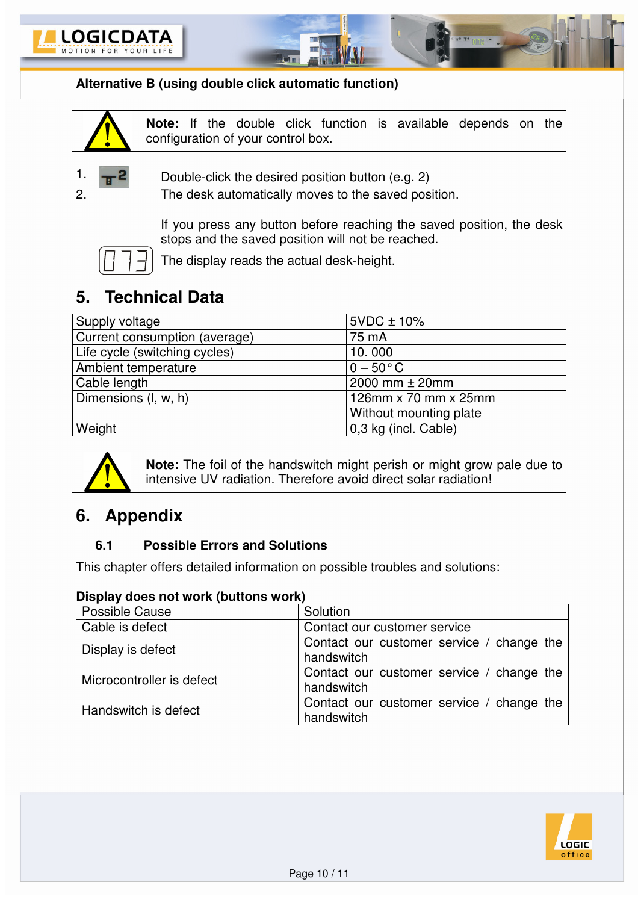



### **Alternative B (using double click automatic function)**



**Note:** If the double click function is available depends on the configuration of your control box.



1.  $\frac{1}{1}$  **2** Double-click the desired position button (e.g. 2)

2. The desk automatically moves to the saved position.

If you press any button before reaching the saved position, the desk stops and the saved position will not be reached.



The display reads the actual desk-height.

# **5. Technical Data**

| Supply voltage                | $5VDC \pm 10\%$        |
|-------------------------------|------------------------|
| Current consumption (average) | 75 mA                  |
| Life cycle (switching cycles) | 10.000                 |
| Ambient temperature           | $0 - 50^{\circ}$ C     |
| Cable length                  | 2000 mm ± 20mm         |
| Dimensions (I, w, h)          | 126mm x 70 mm x 25mm   |
|                               | Without mounting plate |
| Weight                        | 0,3 kg (incl. Cable)   |



**Note:** The foil of the handswitch might perish or might grow pale due to intensive UV radiation. Therefore avoid direct solar radiation!

## **6. Appendix**

#### **6.1 Possible Errors and Solutions**

This chapter offers detailed information on possible troubles and solutions:

#### **Display does not work (buttons work)**

| Possible Cause            | Solution                                                |
|---------------------------|---------------------------------------------------------|
| Cable is defect           | Contact our customer service                            |
| Display is defect         | Contact our customer service / change the<br>handswitch |
| Microcontroller is defect | Contact our customer service / change the<br>handswitch |
| Handswitch is defect      | Contact our customer service / change the<br>handswitch |